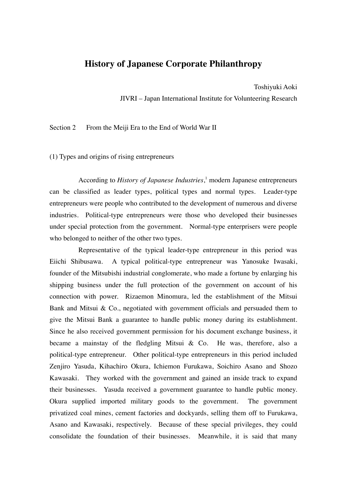## **History of Japanese Corporate Philanthropy**

Toshiyuki Aoki

JIVRI – Japan International Institute for Volunteering Research

Section 2 From the Meiji Era to the End of World War II

(1) Types and origins of rising entrepreneurs

According to *History of Japanese Industries*, 1 modern Japanese entrepreneurs can be classified as leader types, political types and normal types. Leader-type entrepreneurs were people who contributed to the development of numerous and diverse industries. Political-type entrepreneurs were those who developed their businesses under special protection from the government. Normal-type enterprisers were people who belonged to neither of the other two types.

Representative of the typical leader-type entrepreneur in this period was Eiichi Shibusawa. A typical political-type entrepreneur was Yanosuke Iwasaki, founder of the Mitsubishi industrial conglomerate, who made a fortune by enlarging his shipping business under the full protection of the government on account of his connection with power. Rizaemon Minomura, led the establishment of the Mitsui Bank and Mitsui & Co., negotiated with government officials and persuaded them to give the Mitsui Bank a guarantee to handle public money during its establishment. Since he also received government permission for his document exchange business, it became a mainstay of the fledgling Mitsui & Co. He was, therefore, also a political-type entrepreneur. Other political-type entrepreneurs in this period included Zenjiro Yasuda, Kihachiro Okura, Ichiemon Furukawa, Soichiro Asano and Shozo Kawasaki. They worked with the government and gained an inside track to expand their businesses. Yasuda received a government guarantee to handle public money. Okura supplied imported military goods to the government. The government privatized coal mines, cement factories and dockyards, selling them off to Furukawa, Asano and Kawasaki, respectively. Because of these special privileges, they could consolidate the foundation of their businesses. Meanwhile, it is said that many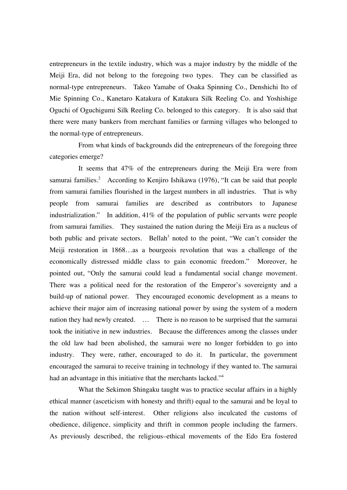entrepreneurs in the textile industry, which was a major industry by the middle of the Meiji Era, did not belong to the foregoing two types. They can be classified as normal-type entrepreneurs. Takeo Yamabe of Osaka Spinning Co., Denshichi Ito of Mie Spinning Co., Kanetaro Katakura of Katakura Silk Reeling Co. and Yoshishige Oguchi of Oguchigumi Silk Reeling Co. belonged to this category. It is also said that there were many bankers from merchant families or farming villages who belonged to the normal-type of entrepreneurs.

From what kinds of backgrounds did the entrepreneurs of the foregoing three categories emerge?

It seems that 47% of the entrepreneurs during the Meiji Era were from samurai families.<sup>2</sup> According to Kenjiro Ishikawa (1976), "It can be said that people from samurai families flourished in the largest numbers in all industries. That is why people from samurai families are described as contributors to Japanese industrialization." In addition, 41% of the population of public servants were people from samurai families. They sustained the nation during the Meiji Era as a nucleus of both public and private sectors. Bellah<sup>3</sup> noted to the point, "We can't consider the Meiji restoration in 1868…as a bourgeois revolution that was a challenge of the economically distressed middle class to gain economic freedom." Moreover, he pointed out, "Only the samurai could lead a fundamental social change movement. There was a political need for the restoration of the Emperor's sovereignty and a build-up of national power. They encouraged economic development as a means to achieve their major aim of increasing national power by using the system of a modern nation they had newly created. … There is no reason to be surprised that the samurai took the initiative in new industries. Because the differences among the classes under the old law had been abolished, the samurai were no longer forbidden to go into industry. They were, rather, encouraged to do it. In particular, the government encouraged the samurai to receive training in technology if they wanted to. The samurai had an advantage in this initiative that the merchants lacked."<sup>4</sup>

What the Sekimon Shingaku taught was to practice secular affairs in a highly ethical manner (asceticism with honesty and thrift) equal to the samurai and be loyal to the nation without self-interest. Other religions also inculcated the customs of obedience, diligence, simplicity and thrift in common people including the farmers. As previously described, the religious–ethical movements of the Edo Era fostered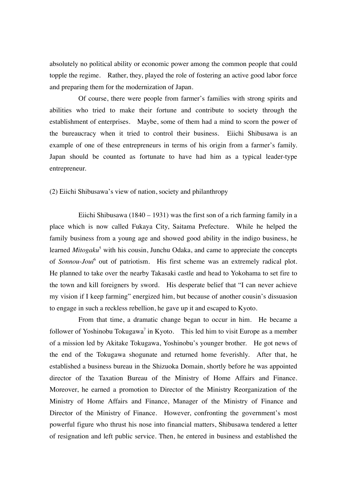absolutely no political ability or economic power among the common people that could topple the regime. Rather, they, played the role of fostering an active good labor force and preparing them for the modernization of Japan.

Of course, there were people from farmer's families with strong spirits and abilities who tried to make their fortune and contribute to society through the establishment of enterprises. Maybe, some of them had a mind to scorn the power of the bureaucracy when it tried to control their business. Eiichi Shibusawa is an example of one of these entrepreneurs in terms of his origin from a farmer's family. Japan should be counted as fortunate to have had him as a typical leader-type entrepreneur.

(2) Eiichi Shibusawa's view of nation, society and philanthropy

Eiichi Shibusawa (1840 – 1931) was the first son of a rich farming family in a place which is now called Fukaya City, Saitama Prefecture. While he helped the family business from a young age and showed good ability in the indigo business, he learned *Mitogaku*<sup>5</sup> with his cousin, Junchu Odaka, and came to appreciate the concepts of *Sonnou-Joui*<sup>6</sup> out of patriotism. His first scheme was an extremely radical plot. He planned to take over the nearby Takasaki castle and head to Yokohama to set fire to the town and kill foreigners by sword. His desperate belief that "I can never achieve my vision if I keep farming" energized him, but because of another cousin's dissuasion to engage in such a reckless rebellion, he gave up it and escaped to Kyoto.

From that time, a dramatic change began to occur in him. He became a follower of Yoshinobu Tokugawa<sup>7</sup> in Kyoto. This led him to visit Europe as a member of a mission led by Akitake Tokugawa, Yoshinobu's younger brother. He got news of the end of the Tokugawa shogunate and returned home feverishly. After that, he established a business bureau in the Shizuoka Domain, shortly before he was appointed director of the Taxation Bureau of the Ministry of Home Affairs and Finance. Moreover, he earned a promotion to Director of the Ministry Reorganization of the Ministry of Home Affairs and Finance, Manager of the Ministry of Finance and Director of the Ministry of Finance. However, confronting the government's most powerful figure who thrust his nose into financial matters, Shibusawa tendered a letter of resignation and left public service. Then, he entered in business and established the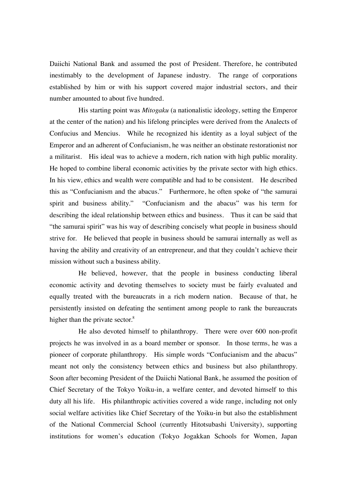Daiichi National Bank and assumed the post of President. Therefore, he contributed inestimably to the development of Japanese industry. The range of corporations established by him or with his support covered major industrial sectors, and their number amounted to about five hundred.

His starting point was *Mitogaku* (a nationalistic ideology, setting the Emperor at the center of the nation) and his lifelong principles were derived from the Analects of Confucius and Mencius. While he recognized his identity as a loyal subject of the Emperor and an adherent of Confucianism, he was neither an obstinate restorationist nor a militarist. His ideal was to achieve a modern, rich nation with high public morality. He hoped to combine liberal economic activities by the private sector with high ethics. In his view, ethics and wealth were compatible and had to be consistent. He described this as "Confucianism and the abacus." Furthermore, he often spoke of "the samurai spirit and business ability." "Confucianism and the abacus" was his term for describing the ideal relationship between ethics and business. Thus it can be said that "the samurai spirit" was his way of describing concisely what people in business should strive for. He believed that people in business should be samurai internally as well as having the ability and creativity of an entrepreneur, and that they couldn't achieve their mission without such a business ability.

He believed, however, that the people in business conducting liberal economic activity and devoting themselves to society must be fairly evaluated and equally treated with the bureaucrats in a rich modern nation. Because of that, he persistently insisted on defeating the sentiment among people to rank the bureaucrats higher than the private sector.<sup>8</sup>

He also devoted himself to philanthropy. There were over 600 non-profit projects he was involved in as a board member or sponsor. In those terms, he was a pioneer of corporate philanthropy. His simple words "Confucianism and the abacus" meant not only the consistency between ethics and business but also philanthropy. Soon after becoming President of the Daiichi National Bank, he assumed the position of Chief Secretary of the Tokyo Yoiku-in, a welfare center, and devoted himself to this duty all his life. His philanthropic activities covered a wide range, including not only social welfare activities like Chief Secretary of the Yoiku-in but also the establishment of the National Commercial School (currently Hitotsubashi University), supporting institutions for women's education (Tokyo Jogakkan Schools for Women, Japan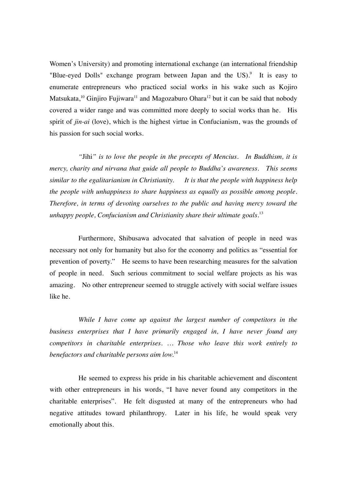Women's University) and promoting international exchange (an international friendship "Blue-eyed Dolls" exchange program between Japan and the US).<sup>9</sup> It is easy to enumerate entrepreneurs who practiced social works in his wake such as Kojiro Matsukata,<sup>10</sup> Ginjiro Fujiwara<sup>11</sup> and Magozaburo Ohara<sup>12</sup> but it can be said that nobody covered a wider range and was committed more deeply to social works than he. His spirit of *jin-ai* (love), which is the highest virtue in Confucianism, was the grounds of his passion for such social works.

*"*Jihi*" is to love the people in the precepts of Mencius. In Buddhism, it is mercy, charity and nirvana that guide all people to Buddha's awareness. This seems similar to the egalitarianism in Christianity. It is that the people with happiness help the people with unhappiness to share happiness as equally as possible among people. Therefore, in terms of devoting ourselves to the public and having mercy toward the unhappy people, Confucianism and Christianity share their ultimate goals.* 13

Furthermore, Shibusawa advocated that salvation of people in need was necessary not only for humanity but also for the economy and politics as "essential for prevention of poverty." He seems to have been researching measures for the salvation of people in need. Such serious commitment to social welfare projects as his was amazing. No other entrepreneur seemed to struggle actively with social welfare issues like he.

*While I have come up against the largest number of competitors in the business enterprises that I have primarily engaged in, I have never found any competitors in charitable enterprises. … Those who leave this work entirely to benefactors and charitable persons aim low.*<sup>14</sup>

He seemed to express his pride in his charitable achievement and discontent with other entrepreneurs in his words, "I have never found any competitors in the charitable enterprises". He felt disgusted at many of the entrepreneurs who had negative attitudes toward philanthropy. Later in his life, he would speak very emotionally about this.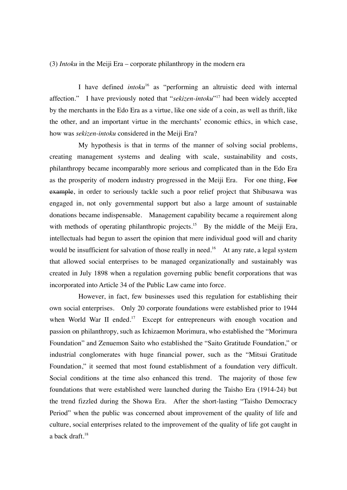## (3) *Intoku* in the Meiji Era – corporate philanthropy in the modern era

I have defined *intoku*16 as "performing an altruistic deed with internal affection." I have previously noted that "*sekizen-intoku*"17 had been widely accepted by the merchants in the Edo Era as a virtue, like one side of a coin, as well as thrift, like the other, and an important virtue in the merchants' economic ethics, in which case, how was *sekizen-intoku* considered in the Meiji Era?

My hypothesis is that in terms of the manner of solving social problems, creating management systems and dealing with scale, sustainability and costs, philanthropy became incomparably more serious and complicated than in the Edo Era as the prosperity of modern industry progressed in the Meiji Era. For one thing, For example, in order to seriously tackle such a poor relief project that Shibusawa was engaged in, not only governmental support but also a large amount of sustainable donations became indispensable. Management capability became a requirement along with methods of operating philanthropic projects.<sup>15</sup> By the middle of the Meiji Era, intellectuals had begun to assert the opinion that mere individual good will and charity would be insufficient for salvation of those really in need.<sup>16</sup> At any rate, a legal system that allowed social enterprises to be managed organizationally and sustainably was created in July 1898 when a regulation governing public benefit corporations that was incorporated into Article 34 of the Public Law came into force.

However, in fact, few businesses used this regulation for establishing their own social enterprises. Only 20 corporate foundations were established prior to 1944 when World War II ended.<sup>17</sup> Except for entrepreneurs with enough vocation and passion on philanthropy, such as Ichizaemon Morimura, who established the "Morimura Foundation" and Zenuemon Saito who established the "Saito Gratitude Foundation," or industrial conglomerates with huge financial power, such as the "Mitsui Gratitude Foundation," it seemed that most found establishment of a foundation very difficult. Social conditions at the time also enhanced this trend. The majority of those few foundations that were established were launched during the Taisho Era (1914-24) but the trend fizzled during the Showa Era. After the short-lasting "Taisho Democracy Period" when the public was concerned about improvement of the quality of life and culture, social enterprises related to the improvement of the quality of life got caught in a back draft. $18$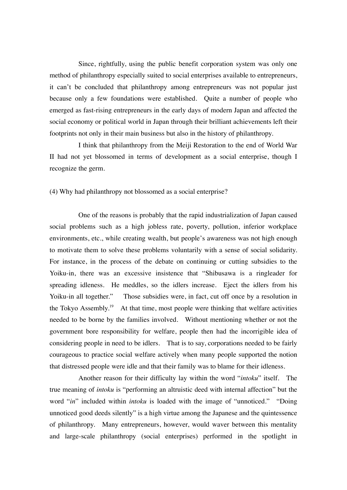Since, rightfully, using the public benefit corporation system was only one method of philanthropy especially suited to social enterprises available to entrepreneurs, it can't be concluded that philanthropy among entrepreneurs was not popular just because only a few foundations were established. Quite a number of people who emerged as fast-rising entrepreneurs in the early days of modern Japan and affected the social economy or political world in Japan through their brilliant achievements left their footprints not only in their main business but also in the history of philanthropy.

I think that philanthropy from the Meiji Restoration to the end of World War II had not yet blossomed in terms of development as a social enterprise, though I recognize the germ.

(4) Why had philanthropy not blossomed as a social enterprise?

One of the reasons is probably that the rapid industrialization of Japan caused social problems such as a high jobless rate, poverty, pollution, inferior workplace environments, etc., while creating wealth, but people's awareness was not high enough to motivate them to solve these problems voluntarily with a sense of social solidarity. For instance, in the process of the debate on continuing or cutting subsidies to the Yoiku-in, there was an excessive insistence that "Shibusawa is a ringleader for spreading idleness. He meddles, so the idlers increase. Eject the idlers from his Yoiku-in all together." Those subsidies were, in fact, cut off once by a resolution in the Tokyo Assembly.<sup>19</sup> At that time, most people were thinking that welfare activities needed to be borne by the families involved. Without mentioning whether or not the government bore responsibility for welfare, people then had the incorrigible idea of considering people in need to be idlers. That is to say, corporations needed to be fairly courageous to practice social welfare actively when many people supported the notion that distressed people were idle and that their family was to blame for their idleness.

Another reason for their difficulty lay within the word "*intoku*" itself. The true meaning of *intoku* is "performing an altruistic deed with internal affection" but the word "*in*" included within *intoku* is loaded with the image of "unnoticed." "Doing unnoticed good deeds silently" is a high virtue among the Japanese and the quintessence of philanthropy. Many entrepreneurs, however, would waver between this mentality and large-scale philanthropy (social enterprises) performed in the spotlight in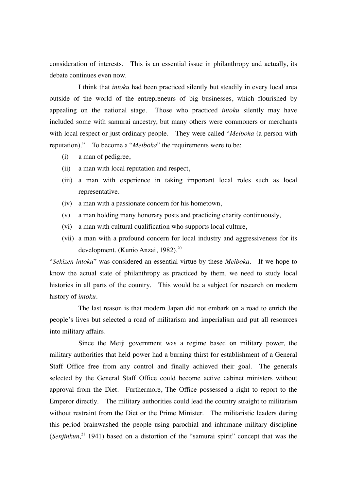consideration of interests. This is an essential issue in philanthropy and actually, its debate continues even now.

I think that *intoku* had been practiced silently but steadily in every local area outside of the world of the entrepreneurs of big businesses, which flourished by appealing on the national stage. Those who practiced *intoku* silently may have included some with samurai ancestry, but many others were commoners or merchants with local respect or just ordinary people. They were called "*Meiboka* (a person with reputation)." To become a "*Meiboka*" the requirements were to be:

- (i) a man of pedigree,
- (ii) a man with local reputation and respect,
- (iii) a man with experience in taking important local roles such as local representative.
- (iv) a man with a passionate concern for his hometown,
- (v) a man holding many honorary posts and practicing charity continuously,
- (vi) a man with cultural qualification who supports local culture,
- (vii) a man with a profound concern for local industry and aggressiveness for its development. (Kunio Anzai, 1982). 20

"*Sekizen intoku*" was considered an essential virtue by these *Meiboka*. If we hope to know the actual state of philanthropy as practiced by them, we need to study local histories in all parts of the country. This would be a subject for research on modern history of *intoku*.

The last reason is that modern Japan did not embark on a road to enrich the people's lives but selected a road of militarism and imperialism and put all resources into military affairs.

Since the Meiji government was a regime based on military power, the military authorities that held power had a burning thirst for establishment of a General Staff Office free from any control and finally achieved their goal. The generals selected by the General Staff Office could become active cabinet ministers without approval from the Diet. Furthermore, The Office possessed a right to report to the Emperor directly. The military authorities could lead the country straight to militarism without restraint from the Diet or the Prime Minister. The militaristic leaders during this period brainwashed the people using parochial and inhumane military discipline (*Senjinkun*<sup>21</sup> 1941) based on a distortion of the "samurai spirit" concept that was the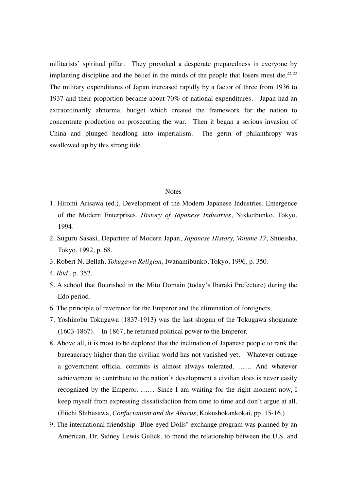militarists' spiritual pillar. They provoked a desperate preparedness in everyone by implanting discipline and the belief in the minds of the people that losers must die.<sup>22, 23</sup> The military expenditures of Japan increased rapidly by a factor of three from 1936 to 1937 and their proportion became about 70% of national expenditures. Japan had an extraordinarily abnormal budget which created the framework for the nation to concentrate production on prosecuting the war. Then it began a serious invasion of China and plunged headlong into imperialism. The germ of philanthropy was swallowed up by this strong tide.

## **Notes**

- 1. Hiromi Arisawa (ed.), Development of the Modern Japanese Industries, Emergence of the Modern Enterprises, *History of Japanese Industries*, Nikkeibunko, Tokyo, 1994.
- 2. Suguru Sasaki, Departure of Modern Japan, *Japanese History, Volume 17*, Shueisha, Tokyo, 1992, p. 68.
- 3. Robert N. Bellah, *Tokugawa Religion*, Iwanamibunko, Tokyo, 1996, p. 350.
- 4. *Ibid*., p. 352.
- 5. A school that flourished in the Mito Domain (today's Ibaraki Prefecture) during the Edo period.
- 6. The principle of reverence for the Emperor and the elimination of foreigners.
- 7. Yoshinobu Tokugawa (1837-1913) was the last shogun of the Tokugawa shogunate (1603-1867). In 1867, he returned political power to the Emperor.
- 8. Above all, it is most to be deplored that the inclination of Japanese people to rank the bureaucracy higher than the civilian world has not vanished yet. Whatever outrage a government official commits is almost always tolerated. …… And whatever achievement to contribute to the nation's development a civilian does is never easily recognized by the Emperor. …… Since I am waiting for the right moment now, I keep myself from expressing dissatisfaction from time to time and don't argue at all. (Eiichi Shibusawa, *Confucianism and the Abacus*, Kokushokankokai, pp. 15-16.)
- 9. The international friendship "Blue-eyed Dolls" exchange program was planned by an American, Dr. Sidney Lewis Gulick, to mend the relationship between the U.S. and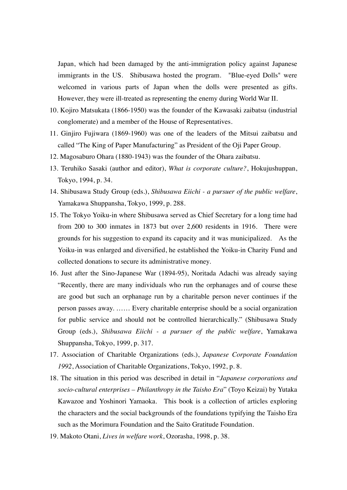Japan, which had been damaged by the anti-immigration policy against Japanese immigrants in the US. Shibusawa hosted the program. "Blue-eyed Dolls" were welcomed in various parts of Japan when the dolls were presented as gifts. However, they were ill-treated as representing the enemy during World War II.

- 10. Kojiro Matsukata (1866-1950) was the founder of the Kawasaki zaibatsu (industrial conglomerate) and a member of the House of Representatives.
- 11. Ginjiro Fujiwara (1869-1960) was one of the leaders of the Mitsui zaibatsu and called "The King of Paper Manufacturing" as President of the Oji Paper Group.
- 12. Magosaburo Ohara (1880-1943) was the founder of the Ohara zaibatsu.
- 13. Teruhiko Sasaki (author and editor), *What is corporate culture?*, Hokujushuppan, Tokyo, 1994, p. 34.
- 14. Shibusawa Study Group (eds.), *Shibusawa Eiichi a pursuer of the public welfare*, Yamakawa Shuppansha, Tokyo, 1999, p. 288.
- 15. The Tokyo Yoiku-in where Shibusawa served as Chief Secretary for a long time had from 200 to 300 inmates in 1873 but over 2,600 residents in 1916. There were grounds for his suggestion to expand its capacity and it was municipalized. As the Yoiku-in was enlarged and diversified, he established the Yoiku-in Charity Fund and collected donations to secure its administrative money.
- 16. Just after the Sino-Japanese War (1894-95), Noritada Adachi was already saying "Recently, there are many individuals who run the orphanages and of course these are good but such an orphanage run by a charitable person never continues if the person passes away. …… Every charitable enterprise should be a social organization for public service and should not be controlled hierarchically." (Shibusawa Study Group (eds.), *Shibusawa Eiichi - a pursuer of the public welfare*, Yamakawa Shuppansha, Tokyo, 1999, p. 317.
- 17. Association of Charitable Organizations (eds.), *Japanese Corporate Foundation 1992*, Association of Charitable Organizations, Tokyo, 1992, p. 8.
- 18. The situation in this period was described in detail in "*Japanese corporations and socio-cultural enterprises – Philanthropy in the Taisho Era*" (Toyo Keizai) by Yutaka Kawazoe and Yoshinori Yamaoka. This book is a collection of articles exploring the characters and the social backgrounds of the foundations typifying the Taisho Era such as the Morimura Foundation and the Saito Gratitude Foundation.
- 19. Makoto Otani, *Lives in welfare work*, Ozorasha, 1998, p. 38.